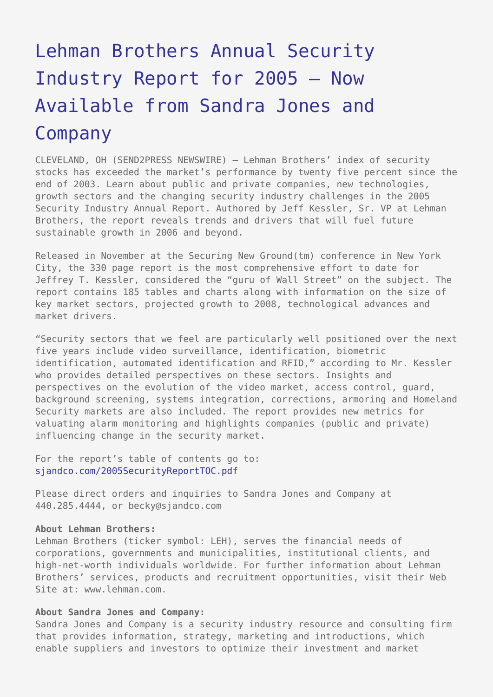## [Lehman Brothers Annual Security](https://www.send2press.com/wire/2006-01-0113-002/) [Industry Report for 2005 – Now](https://www.send2press.com/wire/2006-01-0113-002/) [Available from Sandra Jones and](https://www.send2press.com/wire/2006-01-0113-002/) [Company](https://www.send2press.com/wire/2006-01-0113-002/)

CLEVELAND, OH (SEND2PRESS NEWSWIRE) — Lehman Brothers' index of security stocks has exceeded the market's performance by twenty five percent since the end of 2003. Learn about public and private companies, new technologies, growth sectors and the changing security industry challenges in the 2005 Security Industry Annual Report. Authored by Jeff Kessler, Sr. VP at Lehman Brothers, the report reveals trends and drivers that will fuel future sustainable growth in 2006 and beyond.

Released in November at the Securing New Ground(tm) conference in New York City, the 330 page report is the most comprehensive effort to date for Jeffrey T. Kessler, considered the "guru of Wall Street" on the subject. The report contains 185 tables and charts along with information on the size of key market sectors, projected growth to 2008, technological advances and market drivers.

"Security sectors that we feel are particularly well positioned over the next five years include video surveillance, identification, biometric identification, automated identification and RFID," according to Mr. Kessler who provides detailed perspectives on these sectors. Insights and perspectives on the evolution of the video market, access control, guard, background screening, systems integration, corrections, armoring and Homeland Security markets are also included. The report provides new metrics for valuating alarm monitoring and highlights companies (public and private) influencing change in the security market.

For the report's table of contents go to: [sjandco.com/2005SecurityReportTOC.pdf](http://sjandco.com/2005SecurityReportTOC.pdf)

Please direct orders and inquiries to Sandra Jones and Company at 440.285.4444, or becky@sjandco.com

## **About Lehman Brothers:**

Lehman Brothers (ticker symbol: LEH), serves the financial needs of corporations, governments and municipalities, institutional clients, and high-net-worth individuals worldwide. For further information about Lehman Brothers' services, products and recruitment opportunities, visit their Web Site at: www.lehman.com.

## **About Sandra Jones and Company:**

Sandra Jones and Company is a security industry resource and consulting firm that provides information, strategy, marketing and introductions, which enable suppliers and investors to optimize their investment and market